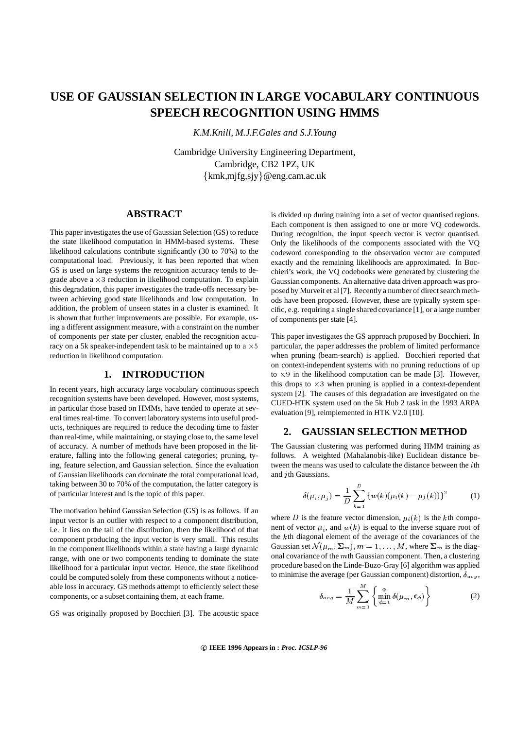# **USE OF GAUSSIAN SELECTION IN LARGE VOCABULARY CONTINUOUS SPEECH RECOGNITION USING HMMS**

*K.M.Knill, M.J.F.Gales and S.J.Young*

Cambridge University Engineering Department, Cambridge, CB2 1PZ, UK kmk,mjfg,sjy @eng.cam.ac.uk

### **ABSTRACT**

This paper investigates the use of Gaussian Selection (GS) to reduce the state likelihood computation in HMM-based systems. These likelihood calculations contribute significantly (30 to 70%) to the computational load. Previously, it has been reported that when GS is used on large systems the recognition accuracy tends to degrade above a  $\times 3$  reduction in likelihood computation. To explain this degradation, this paper investigates the trade-offs necessary between achieving good state likelihoods and low computation. In addition, the problem of unseen states in a cluster is examined. It is shown that further improvements are possible. For example, using a different assignment measure, with a constraint on the number of components per state per cluster, enabled the recognition accuracy on a 5k speaker-independent task to be maintained up to a  $\times 5$ reduction in likelihood computation.

#### **1. INTRODUCTION**

In recent years, high accuracy large vocabulary continuous speech recognition systems have been developed. However, most systems, in particular those based on HMMs, have tended to operate at several times real-time. To convert laboratory systems into useful products, techniques are required to reduce the decoding time to faster than real-time, while maintaining, or staying close to, the same level of accuracy. A number of methods have been proposed in the literature, falling into the following general categories; pruning, tying, feature selection, and Gaussian selection. Since the evaluation of Gaussian likelihoods can dominate the total computational load, taking between 30 to 70% of the computation, the latter category is of particular interest and is the topic of this paper.

The motivation behind Gaussian Selection (GS) is as follows. If an input vector is an outlier with respect to a component distribution, i.e. it lies on the tail of the distribution, then the likelihood of that component producing the input vector is very small. This results in the component likelihoods within a state having a large dynamic range, with one or two components tending to dominate the state likelihood for a particular input vector. Hence, the state likelihood could be computed solely from these components without a noticeable loss in accuracy. GS methods attempt to efficiently select these components, or a subset containing them, at each frame.

GS was originally proposed by Bocchieri [3]. The acoustic space

is divided up during training into a set of vector quantised regions. Each component is then assigned to one or more VQ codewords. During recognition, the input speech vector is vector quantised. Only the likelihoods of the components associated with the VQ codeword corresponding to the observation vector are computed exactly and the remaining likelihoods are approximated. In Bocchieri's work, the VQ codebooks were generated by clustering the Gaussian components. An alternative data driven approach was proposed by Murveit et al [7]. Recently a number of direct search methods have been proposed. However, these are typically system specific, e.g. requiring a single shared covariance [1], or a large number of components per state [4].

This paper investigates the GS approach proposed by Bocchieri. In particular, the paper addresses the problem of limited performance when pruning (beam-search) is applied. Bocchieri reported that on context-independent systems with no pruning reductions of up to  $\times$ 9 in the likelihood computation can be made [3]. However, this drops to  $\times 3$  when pruning is applied in a context-dependent system [2]. The causes of this degradation are investigated on the CUED-HTK system used on the 5k Hub 2 task in the 1993 ARPA evaluation [9], reimplemented in HTK V2.0 [10].

#### **2. GAUSSIAN SELECTION METHOD**

The Gaussian clustering was performed during HMM training as follows. A weighted (Mahalanobis-like) Euclidean distance between the means was used to calculate the distance between the *th* and  $j$ th Gaussians.

$$
\delta(\mu_i, \mu_j) = \frac{1}{D} \sum_{k=1}^{D} \{ w(k) (\mu_i(k) - \mu_j(k)) \}^2
$$
 (1)

where D is the feature vector dimension,  $\mu_i(k)$  is the kth component of vector  $\mu_i$ , and  $w(k)$  is equal to the inverse square root of the kth diagonal element of the average of the covariances of the Gaussian set  $\mathcal{N}(\mu_m, \Sigma_m)$ ,  $m = 1, \ldots, M$ , where  $\Sigma_m$  is the diagonal covariance of the  $m$ th Gaussian component. Then, a clustering procedure based on the Linde-Buzo-Gray [6] algorithm was applied to minimise the average (per Gaussian component) distortion,  $\delta_{avg}$ ,

$$
\delta_{avg} = \frac{1}{M} \sum_{m=1}^{M} \left\{ \min_{\phi=1}^{\Phi} \delta(\mu_m, \mathbf{c}_{\phi}) \right\} \tag{2}
$$

**c**- **IEEE 1996 Appears in :** *Proc. ICSLP-96*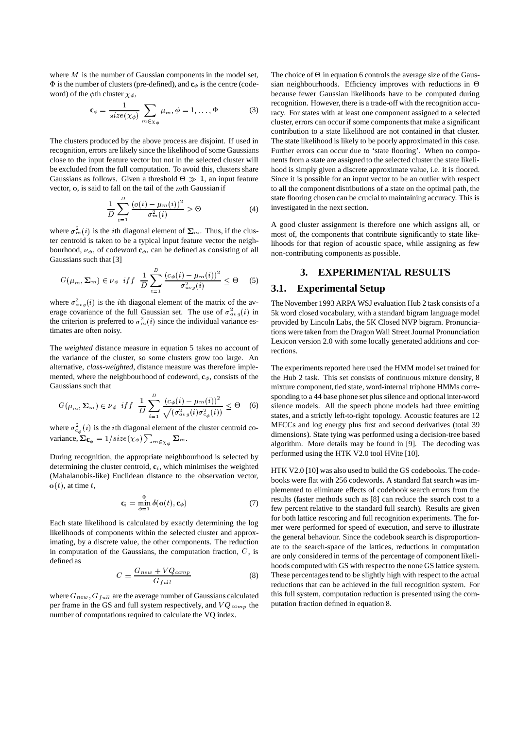where  $M$  is the number of Gaussian components in the model set,  $\Phi$  is the number of clusters (pre-defined), and  $\mathbf{c}_{\phi}$  is the centre (codeword) of the  $\phi$ th cluster  $\chi_{\phi}$ ,

$$
\mathbf{c}_{\phi} = \frac{1}{size(\chi_{\phi})} \sum_{m \in \chi_{\phi}} \mu_m, \phi = 1, \dots, \Phi
$$
 (3)

The clusters produced by the above process are disjoint. If used in recognition, errors are likely since the likelihood of some Gaussians close to the input feature vector but not in the selected cluster will be excluded from the full computation. To avoid this, clusters share Gaussians as follows. Given a threshold  $\Theta \gg 1$ , an input feature vector,  $\mathbf{o}$ , is said to fall on the tail of the  $m$ th Gaussian if

$$
\frac{1}{D} \sum_{i=1}^{D} \frac{(o(i) - \mu_m(i))^2}{\sigma_m^2(i)} > \Theta
$$
 (4)

where  $\sigma_m^2(i)$  is the *i*th diagonal element of  $\Sigma_m$ . Thus, if the cluster centroid is taken to be a typical input feature vector the neighbourhood,  $\nu_{\phi}$ , of codeword  $\mathbf{c}_{\phi}$ , can be defined as consisting of all Gaussians such that [3]

$$
G(\mu_m, \Sigma_m) \in \nu_{\phi} \quad \text{if } f \quad \frac{1}{D} \sum_{i=1}^D \frac{(c_{\phi}(i) - \mu_m(i))^2}{\sigma_{avg}^2(i)} \leq \Theta \qquad (5) \qquad \textbf{3.1.}
$$

where  $\sigma_{avg}^2(i)$  is the *i*th diagonal element of the matrix of the average covariance of the full Gaussian set. The use of  $\sigma_{avg}^2(i)$  in the criterion is preferred to  $\sigma_m^2(i)$  since the individual variance estimates are often noisy.

The *weighted* distance measure in equation 5 takes no account of the variance of the cluster, so some clusters grow too large. An alternative, *class-weighted*, distance measure was therefore implemented, where the neighbourhood of codeword,  $\mathbf{c}_{\phi}$ , consists of the Gaussians such that

$$
G(\mu_m, \Sigma_m) \in \nu_{\phi} \quad \text{if} \quad f \quad \frac{1}{D} \sum_{i=1}^{D} \frac{(c_{\phi}(i) - \mu_m(i))^2}{\sqrt{(\sigma_{avg}^2(i)\sigma_{cg}^2(i))}} \leq \Theta \quad (6)
$$

where  $\sigma_{c_{A}}^{2}(i)$  is the *i*th diagonal element of the cluster centroid covariance,  $\Sigma_{\mathbf{c}_{\phi}} = 1/size(\chi_{\phi}) \sum_{m \in \chi_{\phi}} \Sigma_m$ .

During recognition, the appropriate neighbourhood is selected by determining the cluster centroid,  $c_i$ , which minimises the weighted (Mahalanobis-like) Euclidean distance to the observation vector,  $\mathbf{o}(t)$ , at time t,

$$
\mathbf{c}_i = \min_{\phi=1}^{\Phi} \delta(\mathbf{o}(t), \mathbf{c}_{\phi})
$$
 (7)

Each state likelihood is calculated by exactly determining the log likelihoods of components within the selected cluster and approximating, by a discrete value, the other components. The reduction in computation of the Gaussians, the computation fraction,  $C$ , is defined as

$$
C = \frac{G_{new} + VQ_{comp}}{G_{full}}\tag{8}
$$

where  $G_{new}$ ,  $G_{full}$  are the average number of Gaussians calculated per frame in the GS and full system respectively, and  $VQ_{comp}$  the number of computations required to calculate the VQ index.

The choice of  $\Theta$  in equation 6 controls the average size of the Gaussian neighbourhoods. Efficiency improves with reductions in  $\Theta$ because fewer Gaussian likelihoods have to be computed during recognition. However, there is a trade-off with the recognition accuracy. For states with at least one component assigned to a selected cluster, errors can occur if some components that make a significant contribution to a state likelihood are not contained in that cluster. The state likelihood is likely to be poorly approximated in this case. Further errors can occur due to 'state flooring'. When no components from a state are assigned to the selected cluster the state likelihood is simply given a discrete approximate value, i.e. it is floored. Since it is possible for an input vector to be an outlier with respect to all the component distributions of a state on the optimal path, the state flooring chosen can be crucial to maintaining accuracy. This is investigated in the next section.

A good cluster assignment is therefore one which assigns all, or most of, the components that contribute significantly to state likelihoods for that region of acoustic space, while assigning as few non-contributing components as possible.

# **3. EXPERIMENTAL RESULTS**

#### **3.1. Experimental Setup**

The November 1993 ARPA WSJ evaluation Hub 2 task consists of a 5k word closed vocabulary, with a standard bigram language model provided by Lincoln Labs, the 5K Closed NVP bigram. Pronunciations were taken from the Dragon Wall Street Journal Pronunciation Lexicon version 2.0 with some locally generated additions and corrections.

 $\frac{1}{\sqrt{15}} \leq \Theta$  (6) silence models. All the speech phone models had three emitting The experiments reported here used the HMM model set trained for the Hub 2 task. This set consists of continuous mixture density, 8 mixture component, tied state, word-internal triphone HMMs corresponding to a 44 base phone set plus silence and optional inter-word states, and a strictly left-to-right topology. Acoustic features are 12 MFCCs and log energy plus first and second derivatives (total 39 dimensions). State tying was performed using a decision-tree based algorithm. More details may be found in [9]. The decoding was performed using the HTK V2.0 tool HVite [10].

> HTK V2.0 [10] was also used to build the GS codebooks. The codebooks were flat with 256 codewords. A standard flat search wasimplemented to eliminate effects of codebook search errors from the results (faster methods such as [8] can reduce the search cost to a few percent relative to the standard full search). Results are given for both lattice rescoring and full recognition experiments. The former were performed for speed of execution, and serve to illustrate the general behaviour. Since the codebook search is disproportionate to the search-space of the lattices, reductions in computation are only considered in terms of the percentage of component likelihoods computed with GS with respect to the none GS lattice system. These percentages tend to be slightly high with respect to the actual reductions that can be achieved in the full recognition system. For this full system, computation reduction is presented using the computation fraction defined in equation 8.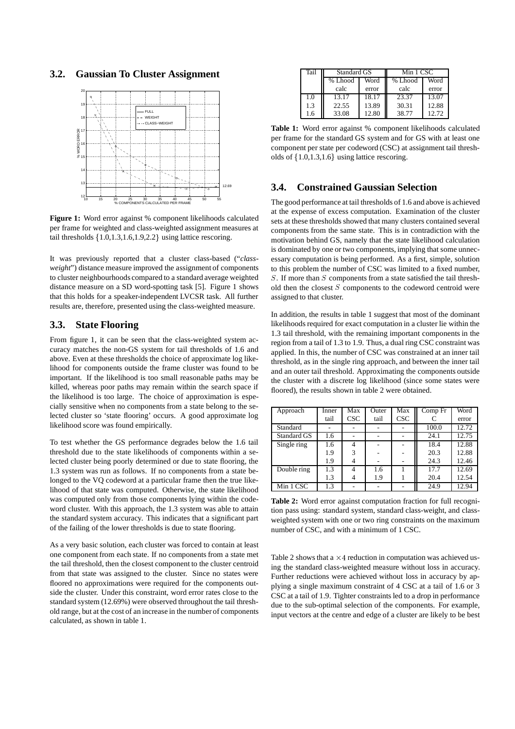### **3.2. Gaussian To Cluster Assignment**



**Figure 1:** Word error against % component likelihoods calculated per frame for weighted and class-weighted assignment measures at tail thresholds  $\{1.0, 1.3, 1.6, 1.9, 2.2\}$  using lattice rescoring.

It was previously reported that a cluster class-based ("*classweight*") distance measure improved the assignment of components to cluster neighbourhoods compared to a standard average weighted distance measure on a SD word-spotting task [5]. Figure 1 shows that this holds for a speaker-independent LVCSR task. All further results are, therefore, presented using the class-weighted measure.

#### **3.3. State Flooring**

From figure 1, it can be seen that the class-weighted system accuracy matches the non-GS system for tail thresholds of 1.6 and above. Even at these thresholds the choice of approximate log likelihood for components outside the frame cluster was found to be important. If the likelihood is too small reasonable paths may be killed, whereas poor paths may remain within the search space if the likelihood is too large. The choice of approximation is especially sensitive when no components from a state belong to the selected cluster so 'state flooring' occurs. A good approximate log likelihood score was found empirically.

To test whether the GS performance degrades below the 1.6 tail threshold due to the state likelihoods of components within a selected cluster being poorly determined or due to state flooring, the 1.3 system was run as follows. If no components from a state belonged to the VQ codeword at a particular frame then the true likelihood of that state was computed. Otherwise, the state likelihood was computed only from those components lying within the codeword cluster. With this approach, the 1.3 system was able to attain the standard system accuracy. This indicates that a significant part of the failing of the lower thresholds is due to state flooring.

As a very basic solution, each cluster was forced to contain at least one component from each state. If no componentsfrom a state met the tail threshold, then the closest component to the cluster centroid from that state was assigned to the cluster. Since no states were floored no approximations were required for the components outside the cluster. Under this constraint, word error rates close to the standard system (12.69%) were observed throughout the tail threshold range, but at the cost of an increase in the number of components calculated, as shown in table 1.

| Tail | Standard GS |       | Min 1 CSC |       |  |
|------|-------------|-------|-----------|-------|--|
|      | % Lhood     | Word  | % Lhood   | Word  |  |
|      | calc        | error | calc      | error |  |
| 1.0  | 13.17       | 18.17 | 23.37     | 13.07 |  |
| 1.3  | 22.55       | 13.89 | 30.31     | 12.88 |  |
| 1.6  | 33.08       | 12.80 | 38.77     | 12.72 |  |

**Table 1:** Word error against % component likelihoods calculated per frame for the standard GS system and for GS with at least one component per state per codeword (CSC) at assignment tail thresholds of  $\{1.0, 1.3, 1.6\}$  using lattice rescoring.

## **3.4. Constrained Gaussian Selection**

The good performance at tail thresholds of 1.6 and above is achieved at the expense of excess computation. Examination of the cluster sets at these thresholds showed that many clusters contained several components from the same state. This is in contradiction with the motivation behind GS, namely that the state likelihood calculation is dominated by one or two components, implying that some unnecessary computation is being performed. As a first, simple, solution to this problem the number of CSC was limited to a fixed number,  $S$ . If more than  $S$  components from a state satisfied the tail threshold then the closest  $S$  components to the codeword centroid were assigned to that cluster.

In addition, the results in table 1 suggest that most of the dominant likelihoods required for exact computation in a cluster lie within the 1.3 tail threshold, with the remaining important components in the region from a tail of 1.3 to 1.9. Thus, a dual ring CSC constraint was applied. In this, the number of CSC was constrained at an inner tail threshold, as in the single ring approach, and between the inner tail and an outer tail threshold. Approximating the components outside the cluster with a discrete log likelihood (since some states were floored), the results shown in table 2 were obtained.

| Approach    | Inner | Max        | Outer | Max        | Comp Fr | Word  |
|-------------|-------|------------|-------|------------|---------|-------|
|             | tail  | <b>CSC</b> | tail  | <b>CSC</b> |         | error |
| Standard    |       |            |       |            | 100.0   | 12.72 |
| Standard GS | 1.6   |            |       |            | 24.1    | 12.75 |
| Single ring | 1.6   | 4          |       |            | 18.4    | 12.88 |
|             | 1.9   | 3          |       |            | 20.3    | 12.88 |
|             | 1.9   | 4          |       |            | 24.3    | 12.46 |
| Double ring | 1.3   | 4          | 1.6   |            | 17.7    | 12.69 |
|             | 1.3   |            | 1.9   |            | 20.4    | 12.54 |
| Min 1 CSC   | 1.3   |            |       |            | 24.9    | 12.94 |

**Table 2:** Word error against computation fraction for full recognition pass using: standard system, standard class-weight, and classweighted system with one or two ring constraints on the maximum number of CSC, and with a minimum of 1 CSC.

Table 2 shows that a  $\times$  4 reduction in computation was achieved using the standard class-weighted measure without loss in accuracy. Further reductions were achieved without loss in accuracy by applying a single maximum constraint of 4 CSC at a tail of 1.6 or 3 CSC at a tail of 1.9. Tighter constraints led to a drop in performance due to the sub-optimal selection of the components. For example, input vectors at the centre and edge of a cluster are likely to be best